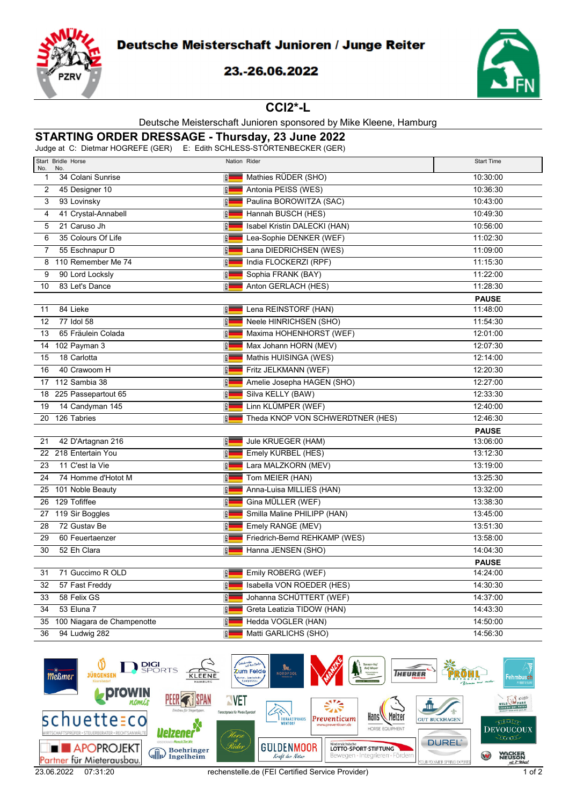

# Deutsche Meisterschaft Junioren / Junge Reiter

### 23.-26.06.2022



### **CCI2\*-L**

#### Deutsche Meisterschaft Junioren sponsored by Mike Kleene, Hamburg

# **STARTING ORDER DRESSAGE - Thursday, 23 June 2022**

Judge at C: Dietmar HOGREFE (GER) E: Edith SCHLESS-STÖRTENBECKER (GER)

| Start Bridle Horse<br>No.<br>No.  | Nation Rider                                   | <b>Start Time</b> |
|-----------------------------------|------------------------------------------------|-------------------|
| 34 Colani Sunrise<br>$\mathbf{1}$ | $\frac{1}{2}$<br>Mathies RÜDER (SHO)           | 10:30:00          |
| 2<br>45 Designer 10               | <b>GER</b><br>Antonia PEISS (WES)              | 10:36:30          |
| 93 Lovinsky<br>3                  | <b>GER</b><br>Paulina BOROWITZA (SAC)          | 10:43:00          |
| 4<br>41 Crystal-Annabell          | Hannah BUSCH (HES)<br><b>GER</b>               | 10:49:30          |
| 21 Caruso Jh<br>5                 | Isabel Kristin DALECKI (HAN)<br><b>GER</b>     | 10:56:00          |
| 35 Colours Of Life<br>6           | Lea-Sophie DENKER (WEF)<br>$\frac{2}{3}$       | 11:02:30          |
| 55 Eschnapur D<br>$\overline{7}$  | Lana DIEDRICHSEN (WES)<br>$\frac{1}{2}$        | 11:09:00          |
| 110 Remember Me 74<br>8           | <b>GER</b><br>India FLOCKERZI (RPF)            | 11:15:30          |
| 90 Lord Locksly<br>9              | <b>GER</b><br>Sophia FRANK (BAY)               | 11:22:00          |
| 83 Let's Dance<br>10              | <b>GER</b><br>Anton GERLACH (HES)              | 11:28:30          |
|                                   |                                                | <b>PAUSE</b>      |
| 84 Lieke<br>11                    | <b>GER</b><br>Lena REINSTORF (HAN)             | 11:48:00          |
| 77 Idol 58<br>12                  | $\frac{1}{2}$<br>Neele HINRICHSEN (SHO)        | 11:54:30          |
| 65 Fräulein Colada<br>13          | $rac{1}{2}$<br>Maxima HOHENHORST (WEF)         | 12:01:00          |
| 14 102 Payman 3                   | Max Johann HORN (MEV)<br><b>GER</b>            | 12:07:30          |
| 18 Carlotta<br>15                 | <b>GER</b><br>Mathis HUISINGA (WES)            | 12:14:00          |
| 40 Crawoom H<br>16                | <b>GER</b><br>Fritz JELKMANN (WEF)             | 12:20:30          |
| 17 112 Sambia 38                  | <b>GER</b><br>Amelie Josepha HAGEN (SHO)       | 12:27:00          |
| 18 225 Passepartout 65            | <b>GER</b><br>Silva KELLY (BAW)                | 12:33:30          |
| 14 Candyman 145<br>19             | Linn KLÜMPER (WEF)<br><b>GER</b>               | 12:40:00          |
| 20 126 Tabries                    | <b>GER</b><br>Theda KNOP VON SCHWERDTNER (HES) | 12:46:30          |
|                                   |                                                | <b>PAUSE</b>      |
| 42 D'Artagnan 216<br>21           | <b>GER</b><br>Jule KRUEGER (HAM)               | 13:06:00          |
| 22 218 Entertain You              | <b>GER</b><br>Emely KURBEL (HES)               | 13:12:30          |
| 11 C'est la Vie<br>23             | GER<br>Lara MALZKORN (MEV)                     | 13:19:00          |
| 74 Homme d'Hotot M<br>24          | <b>GER</b><br>Tom MEIER (HAN)                  | 13:25:30          |
| 25 101 Noble Beauty               | <b>GER</b><br>Anna-Luisa MILLIES (HAN)         | 13:32:00          |
| 26 129 Tofiffee                   | Gina MÜLLER (WEF)<br><b>GER</b>                | 13:38:30          |
| 27 119 Sir Boggles                | Smilla Maline PHILIPP (HAN)<br>$rac{1}{2}$     | 13:45:00          |
| 72 Gustav Be<br>28                | Emely RANGE (MEV)<br><b>QER</b>                | 13:51:30          |
| 60 Feuertaenzer<br>29             | Friedrich-Bernd REHKAMP (WES)<br>GER           | 13:58:00          |
| 30<br>52 Eh Clara                 | $\frac{1}{2}$<br>Hanna JENSEN (SHO)            | 14:04:30          |
|                                   |                                                | <b>PAUSE</b>      |
| 71 Guccimo R OLD<br>31            | <b>GER</b><br>Emily ROBERG (WEF)               | 14:24:00          |
| $\overline{32}$<br>57 Fast Freddy | <b>GER</b><br>Isabella VON ROEDER (HES)        | 14:30:30          |
| 58 Felix GS<br>33                 | Johanna SCHÜTTERT (WEF)<br><b>GER</b>          | 14:37:00          |
| 53 Eluna 7<br>34                  | <b>GER</b><br>Greta Leatizia TIDOW (HAN)       | 14:43:30          |
| 35<br>100 Niagara de Champenotte  | <b>GER</b><br>Hedda VOGLER (HAN)               | 14:50:00          |
| 36<br>94 Ludwig 282               | <b>QER</b><br>Matti GARLICHS (SHO)             | 14:56:30          |